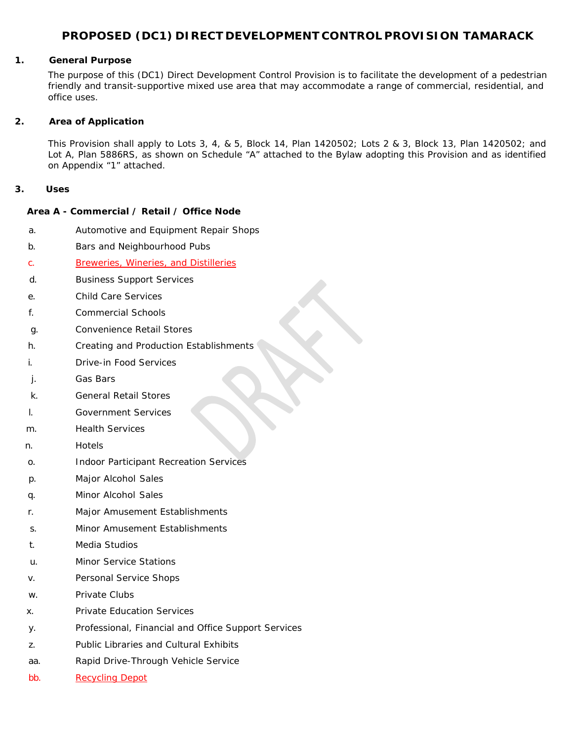# **PROPOSED (DC1) DIRECT DEVELOPMENT CONTROL PROVISION TAMARACK**

#### **1. General Purpose**

The purpose of this (DC1) Direct Development Control Provision is to facilitate the development of a pedestrian friendly and transit-supportive mixed use area that may accommodate a range of commercial, residential, and office uses.

#### **2. Area of Application**

This Provision shall apply to Lots 3, 4, & 5, Block 14, Plan 1420502; Lots 2 & 3, Block 13, Plan 1420502; and Lot A, Plan 5886RS, as shown on Schedule "A" attached to the Bylaw adopting this Provision and as identified on Appendix "1" attached.

#### **3. Uses**

#### **Area A - Commercial / Retail / Office Node**

- a. Automotive and Equipment Repair Shops
- b. Bars and Neighbourhood Pubs
- c. Breweries, Wineries, and Distilleries
- d. Business Support Services
- e. Child Care Services
- f. Commercial Schools
- g. Convenience Retail Stores
- h. Creating and Production Establishments
- i. Drive-in Food Services
- j. Gas Bars
- k. General Retail Stores
- l. Government Services
- m. Health Services
- n. Hotels
- o. Indoor Participant Recreation Services
- p. Major Alcohol Sales
- q. Minor Alcohol Sales
- r. Major Amusement Establishments
- s. Minor Amusement Establishments
- t. Media Studios
- u. Minor Service Stations
- v. Personal Service Shops
- w. Private Clubs
- x. Private Education Services
- y. Professional, Financial and Office Support Services
- z. Public Libraries and Cultural Exhibits
- aa. Rapid Drive-Through Vehicle Service
- bb. Recycling Depot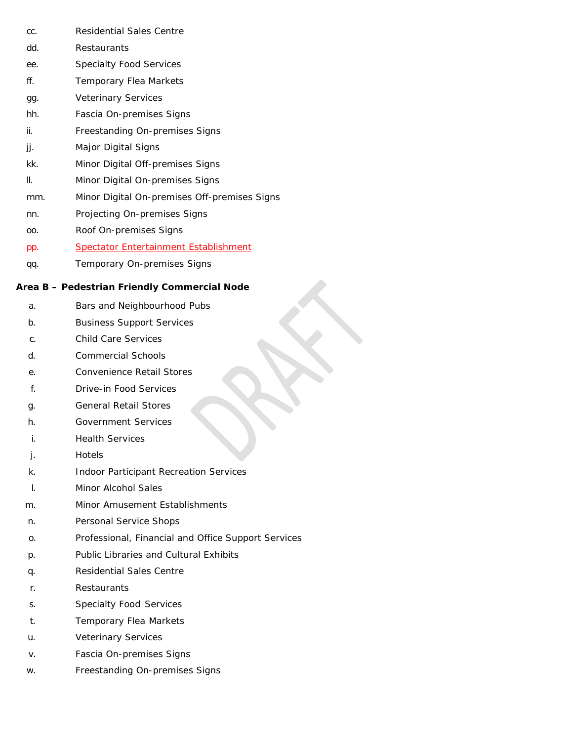- cc. Residential Sales Centre
- dd. Restaurants
- ee. Specialty Food Services
- ff. Temporary Flea Markets
- gg. Veterinary Services
- hh. Fascia On-premises Signs
- ii. Freestanding On-premises Signs
- jj. Major Digital Signs
- kk. Minor Digital Off-premises Signs
- ll. Minor Digital On-premises Signs
- mm. Minor Digital On-premises Off-premises Signs

- nn. Projecting On-premises Signs
- oo. Roof On-premises Signs
- pp. Spectator Entertainment Establishment
- qq. Temporary On-premises Signs

# **Area B – Pedestrian Friendly Commercial Node**

- a. Bars and Neighbourhood Pubs
- b. Business Support Services
- c. Child Care Services
- d. Commercial Schools
- e. Convenience Retail Stores
- f. Drive-in Food Services
- g. General Retail Stores
- h. Government Services
- i. Health Services
- j. Hotels
- k. Indoor Participant Recreation Services
- l. Minor Alcohol Sales
- m. Minor Amusement Establishments
- n. Personal Service Shops
- o. Professional, Financial and Office Support Services
- p. Public Libraries and Cultural Exhibits
- q. Residential Sales Centre
- r. Restaurants
- s. Specialty Food Services
- t. Temporary Flea Markets
- u. Veterinary Services
- v. Fascia On-premises Signs
- w. Freestanding On-premises Signs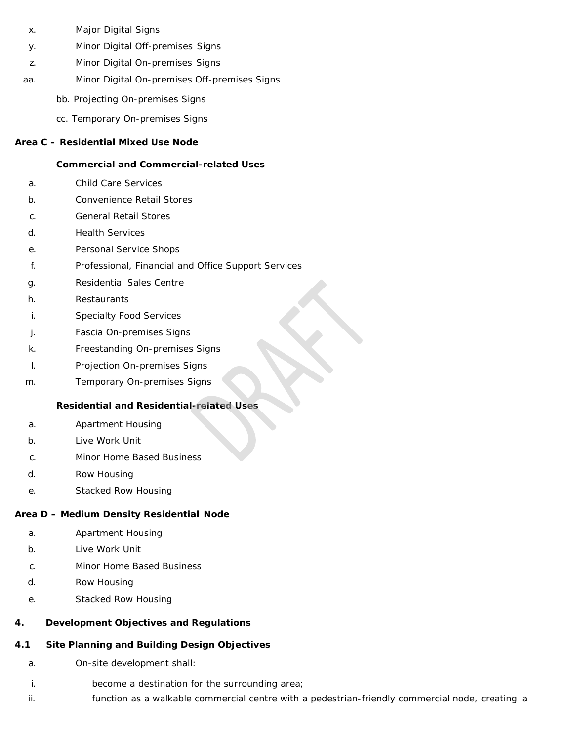- x. Major Digital Signs
- y. Minor Digital Off-premises Signs
- z. Minor Digital On-premises Signs
- aa. Minor Digital On-premises Off-premises Signs
	- bb. Projecting On-premises Signs
	- cc. Temporary On-premises Signs

#### **Area C – Residential Mixed Use Node**

#### **Commercial and Commercial-related Uses**

- a. Child Care Services
- b. Convenience Retail Stores
- c. General Retail Stores
- d. Health Services
- e. Personal Service Shops
- f. Professional, Financial and Office Support Services
- g. Residential Sales Centre
- h. Restaurants
- i. Specialty Food Services
- j. Fascia On-premises Signs
- k. Freestanding On-premises Signs
- l. Projection On-premises Signs
- m. Temporary On-premises Signs

### **Residential and Residential-related Uses**

- a. Apartment Housing
- b. Live Work Unit
- c. Minor Home Based Business
- d. Row Housing
- e. Stacked Row Housing

# **Area D – Medium Density Residential Node**

- a. Apartment Housing
- b. Live Work Unit
- c. Minor Home Based Business
- d. Row Housing
- e. Stacked Row Housing

# **4. Development Objectives and Regulations**

# **4.1 Site Planning and Building Design Objectives**

- a. On-site development shall:
- i. become a destination for the surrounding area;
- ii. **Function as a walkable commercial centre with a pedestrian-friendly commercial node, creating a**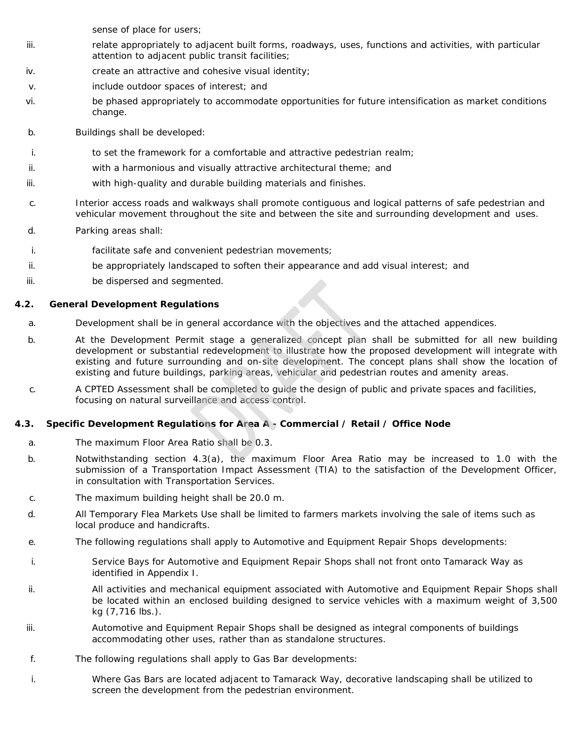sense of place for users;

- iii. relate appropriately to adjacent built forms, roadways, uses, functions and activities, with particular attention to adjacent public transit facilities;
- iv. create an attractive and cohesive visual identity;
- v. include outdoor spaces of interest; and
- vi. be phased appropriately to accommodate opportunities for future intensification as market conditions change.
- b. Buildings shall be developed:
- i. to set the framework for a comfortable and attractive pedestrian realm;
- ii. with a harmonious and visually attractive architectural theme; and
- iii. with high-quality and durable building materials and finishes.
- c. Interior access roads and walkways shall promote contiguous and logical patterns of safe pedestrian and vehicular movement throughout the site and between the site and surrounding development and uses.
- d. Parking areas shall:
- i. facilitate safe and convenient pedestrian movements;
- ii. be appropriately landscaped to soften their appearance and add visual interest; and
- iii. be dispersed and segmented.

# **4.2. General Development Regulations**

- a. Development shall be in general accordance with the objectives and the attached appendices.
- b. At the Development Permit stage a generalized concept plan shall be submitted for all new building development or substantial redevelopment to illustrate how the proposed development will integrate with existing and future surrounding and on-site development. The concept plans shall show the location of existing and future buildings, parking areas, vehicular and pedestrian routes and amenity areas.
- c. A CPTED Assessment shall be completed to guide the design of public and private spaces and facilities, focusing on natural surveillance and access control.

# **4.3. Specific Development Regulations for Area A - Commercial / Retail / Office Node**

- a. The maximum Floor Area Ratio shall be 0.3.
- b. Notwithstanding section 4.3(a), the maximum Floor Area Ratio may be increased to 1.0 with the submission of a Transportation Impact Assessment (TIA) to the satisfaction of the Development Officer, in consultation with Transportation Services.
- c. The maximum building height shall be 20.0 m.
- d. All Temporary Flea Markets Use shall be limited to farmers markets involving the sale of items such as local produce and handicrafts.
- e. The following regulations shall apply to Automotive and Equipment Repair Shops developments:
- i. Service Bays for Automotive and Equipment Repair Shops shall not front onto Tamarack Way as identified in Appendix I.
- ii. All activities and mechanical equipment associated with Automotive and Equipment Repair Shops shall be located within an enclosed building designed to service vehicles with a maximum weight of 3,500 kg (7,716 lbs.).
- iii. Automotive and Equipment Repair Shops shall be designed as integral components of buildings accommodating other uses, rather than as standalone structures.
- f. The following regulations shall apply to Gas Bar developments:
- i. Where Gas Bars are located adjacent to Tamarack Way, decorative landscaping shall be utilized to screen the development from the pedestrian environment.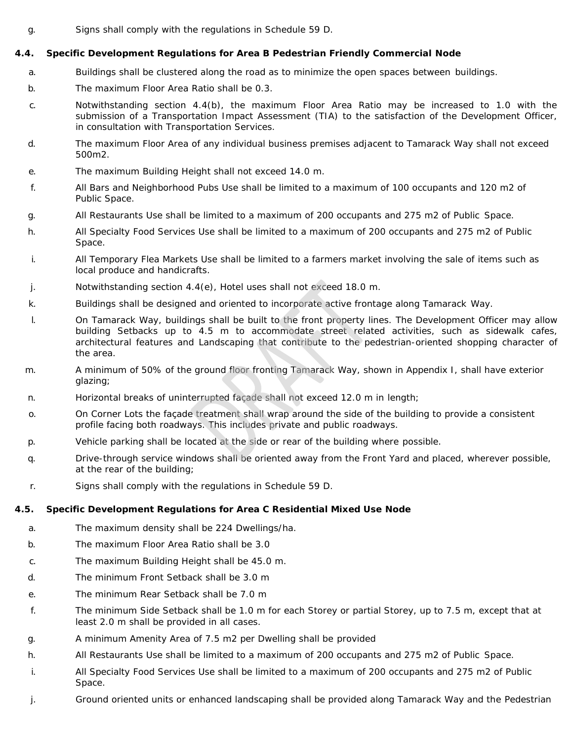g. Signs shall comply with the regulations in Schedule 59 D.

# **4.4. Specific Development Regulations for Area B Pedestrian Friendly Commercial Node**

- a. Buildings shall be clustered along the road as to minimize the open spaces between buildings.
- b. The maximum Floor Area Ratio shall be 0.3.
- c. Notwithstanding section 4.4(b), the maximum Floor Area Ratio may be increased to 1.0 with the submission of a Transportation Impact Assessment (TIA) to the satisfaction of the Development Officer, in consultation with Transportation Services.
- d. The maximum Floor Area of any individual business premises adjacent to Tamarack Way shall not exceed 500m2.
- e. The maximum Building Height shall not exceed 14.0 m.
- f. All Bars and Neighborhood Pubs Use shall be limited to a maximum of 100 occupants and 120 m2 of Public Space.
- g. All Restaurants Use shall be limited to a maximum of 200 occupants and 275 m2 of Public Space.
- h. All Specialty Food Services Use shall be limited to a maximum of 200 occupants and 275 m2 of Public Space.
- i. All Temporary Flea Markets Use shall be limited to a farmers market involving the sale of items such as local produce and handicrafts.
- j. Notwithstanding section 4.4(e), Hotel uses shall not exceed 18.0 m.
- k. Buildings shall be designed and oriented to incorporate active frontage along Tamarack Way.
- l. On Tamarack Way, buildings shall be built to the front property lines. The Development Officer may allow building Setbacks up to 4.5 m to accommodate street related activities, such as sidewalk cafes, architectural features and Landscaping that contribute to the pedestrian-oriented shopping character of the area.
- m. A minimum of 50% of the ground floor fronting Tamarack Way, shown in Appendix I, shall have exterior glazing;
- n. Horizontal breaks of uninterrupted façade shall not exceed 12.0 m in length;
- o. On Corner Lots the façade treatment shall wrap around the side of the building to provide a consistent profile facing both roadways. This includes private and public roadways.
- p. Vehicle parking shall be located at the side or rear of the building where possible.
- q. Drive-through service windows shall be oriented away from the Front Yard and placed, wherever possible, at the rear of the building;
- r. Signs shall comply with the regulations in Schedule 59 D.

# **4.5. Specific Development Regulations for Area C Residential Mixed Use Node**

- a. The maximum density shall be 224 Dwellings/ha.
- b. The maximum Floor Area Ratio shall be 3.0
- c. The maximum Building Height shall be 45.0 m.
- d. The minimum Front Setback shall be 3.0 m
- e. The minimum Rear Setback shall be 7.0 m
- f. The minimum Side Setback shall be 1.0 m for each Storey or partial Storey, up to 7.5 m, except that at least 2.0 m shall be provided in all cases.
- g. A minimum Amenity Area of 7.5 m2 per Dwelling shall be provided
- h. All Restaurants Use shall be limited to a maximum of 200 occupants and 275 m2 of Public Space.
- i. All Specialty Food Services Use shall be limited to a maximum of 200 occupants and 275 m2 of Public Space.
- j. Ground oriented units or enhanced landscaping shall be provided along Tamarack Way and the Pedestrian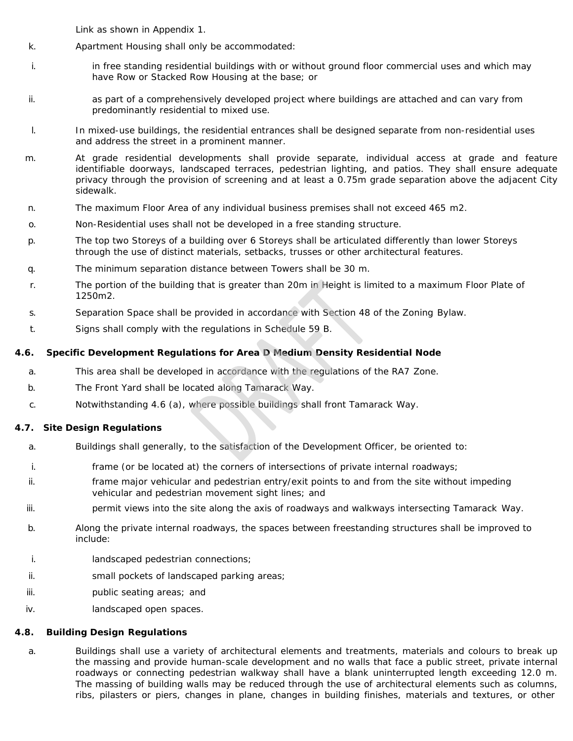Link as shown in Appendix 1.

- k. Apartment Housing shall only be accommodated:
- i. in free standing residential buildings with or without ground floor commercial uses and which may have Row or Stacked Row Housing at the base; or
- ii. as part of a comprehensively developed project where buildings are attached and can vary from predominantly residential to mixed use.
- l. In mixed-use buildings, the residential entrances shall be designed separate from non-residential uses and address the street in a prominent manner.
- m. At grade residential developments shall provide separate, individual access at grade and feature identifiable doorways, landscaped terraces, pedestrian lighting, and patios. They shall ensure adequate privacy through the provision of screening and at least a 0.75m grade separation above the adjacent City sidewalk.
- n. The maximum Floor Area of any individual business premises shall not exceed 465 m2.
- o. Non-Residential uses shall not be developed in a free standing structure.
- p. The top two Storeys of a building over 6 Storeys shall be articulated differently than lower Storeys through the use of distinct materials, setbacks, trusses or other architectural features.
- q. The minimum separation distance between Towers shall be 30 m.
- r. The portion of the building that is greater than 20m in Height is limited to a maximum Floor Plate of 1250m2.
- s. Separation Space shall be provided in accordance with Section 48 of the Zoning Bylaw.
- t. Signs shall comply with the regulations in Schedule 59 B.

# **4.6. Specific Development Regulations for Area D Medium Density Residential Node**

- a. This area shall be developed in accordance with the regulations of the RA7 Zone.
- b. The Front Yard shall be located along Tamarack Way.
- c. Notwithstanding 4.6 (a), where possible buildings shall front Tamarack Way.

# **4.7. Site Design Regulations**

- a. Buildings shall generally, to the satisfaction of the Development Officer, be oriented to:
- i. frame (or be located at) the corners of intersections of private internal roadways;
- ii. frame major vehicular and pedestrian entry/exit points to and from the site without impeding vehicular and pedestrian movement sight lines; and
- iii. permit views into the site along the axis of roadways and walkways intersecting Tamarack Way.
- b. Along the private internal roadways, the spaces between freestanding structures shall be improved to include:
- i. landscaped pedestrian connections;
- ii. small pockets of landscaped parking areas;
- iii. **public seating areas**; and
- iv. landscaped open spaces.

#### **4.8. Building Design Regulations**

a. Buildings shall use a variety of architectural elements and treatments, materials and colours to break up the massing and provide human-scale development and no walls that face a public street, private internal roadways or connecting pedestrian walkway shall have a blank uninterrupted length exceeding 12.0 m. The massing of building walls may be reduced through the use of architectural elements such as columns, ribs, pilasters or piers, changes in plane, changes in building finishes, materials and textures, or other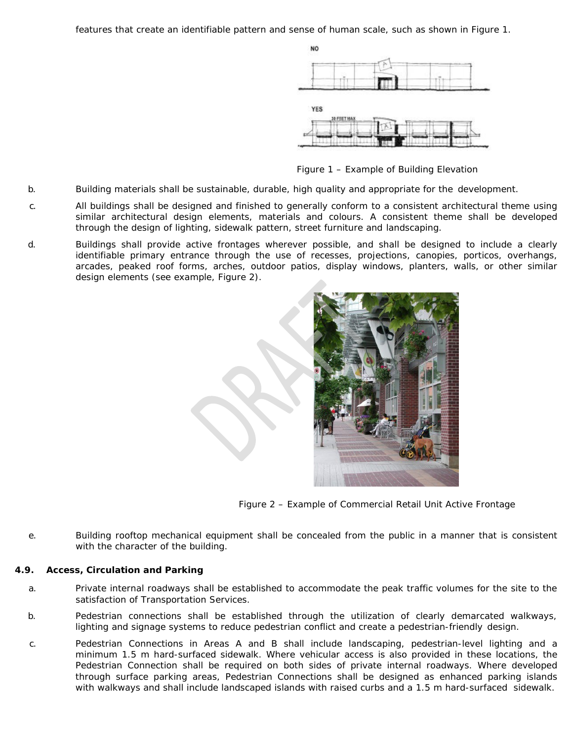features that create an identifiable pattern and sense of human scale, such as shown in Figure 1.



*Figure 1 – Example of Building Elevation*

- b. Building materials shall be sustainable, durable, high quality and appropriate for the development.
- c. All buildings shall be designed and finished to generally conform to a consistent architectural theme using similar architectural design elements, materials and colours. A consistent theme shall be developed through the design of lighting, sidewalk pattern, street furniture and landscaping.
- d. Buildings shall provide active frontages wherever possible, and shall be designed to include a clearly identifiable primary entrance through the use of recesses, projections, canopies, porticos, overhangs, arcades, peaked roof forms, arches, outdoor patios, display windows, planters, walls, or other similar design elements (see example, Figure 2).



*Figure 2 – Example of Commercial Retail Unit Active Frontage*

e. Building rooftop mechanical equipment shall be concealed from the public in a manner that is consistent with the character of the building.

#### **4.9. Access, Circulation and Parking**

- a. Private internal roadways shall be established to accommodate the peak traffic volumes for the site to the satisfaction of Transportation Services.
- b. Pedestrian connections shall be established through the utilization of clearly demarcated walkways, lighting and signage systems to reduce pedestrian conflict and create a pedestrian-friendly design.
- c. Pedestrian Connections in Areas A and B shall include landscaping, pedestrian-level lighting and a minimum 1.5 m hard-surfaced sidewalk. Where vehicular access is also provided in these locations, the Pedestrian Connection shall be required on both sides of private internal roadways. Where developed through surface parking areas, Pedestrian Connections shall be designed as enhanced parking islands with walkways and shall include landscaped islands with raised curbs and a 1.5 m hard-surfaced sidewalk.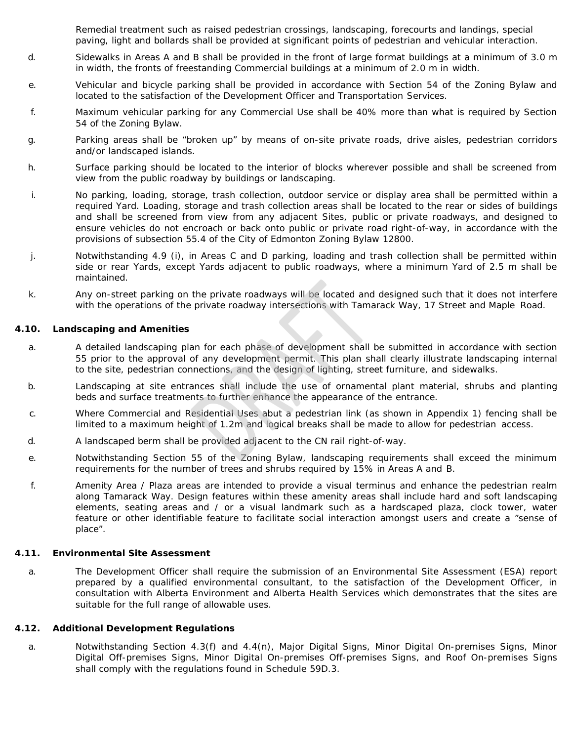Remedial treatment such as raised pedestrian crossings, landscaping, forecourts and landings, special paving, light and bollards shall be provided at significant points of pedestrian and vehicular interaction.

- d. Sidewalks in Areas A and B shall be provided in the front of large format buildings at a minimum of 3.0 m in width, the fronts of freestanding Commercial buildings at a minimum of 2.0 m in width.
- e. Vehicular and bicycle parking shall be provided in accordance with Section 54 of the Zoning Bylaw and located to the satisfaction of the Development Officer and Transportation Services.
- f. Maximum vehicular parking for any Commercial Use shall be 40% more than what is required by Section 54 of the Zoning Bylaw.
- g. Parking areas shall be "broken up" by means of on-site private roads, drive aisles, pedestrian corridors and/or landscaped islands.
- h. Surface parking should be located to the interior of blocks wherever possible and shall be screened from view from the public roadway by buildings or landscaping.
- i. No parking, loading, storage, trash collection, outdoor service or display area shall be permitted within a required Yard. Loading, storage and trash collection areas shall be located to the rear or sides of buildings and shall be screened from view from any adjacent Sites, public or private roadways, and designed to ensure vehicles do not encroach or back onto public or private road right-of-way, in accordance with the provisions of subsection 55.4 of the City of Edmonton Zoning Bylaw 12800.
- j. Notwithstanding 4.9 (i), in Areas C and D parking, loading and trash collection shall be permitted within side or rear Yards, except Yards adjacent to public roadways, where a minimum Yard of 2.5 m shall be maintained.
- k. Any on-street parking on the private roadways will be located and designed such that it does not interfere with the operations of the private roadway intersections with Tamarack Way, 17 Street and Maple Road.

#### **4.10. Landscaping and Amenities**

- a. A detailed landscaping plan for each phase of development shall be submitted in accordance with section 55 prior to the approval of any development permit. This plan shall clearly illustrate landscaping internal to the site, pedestrian connections, and the design of lighting, street furniture, and sidewalks.
- b. Landscaping at site entrances shall include the use of ornamental plant material, shrubs and planting beds and surface treatments to further enhance the appearance of the entrance.
- c. Where Commercial and Residential Uses abut a pedestrian link (as shown in Appendix 1) fencing shall be limited to a maximum height of 1.2m and logical breaks shall be made to allow for pedestrian access.
- d. A landscaped berm shall be provided adjacent to the CN rail right-of-way.
- e. Notwithstanding Section 55 of the Zoning Bylaw, landscaping requirements shall exceed the minimum requirements for the number of trees and shrubs required by 15% in Areas A and B.
- f. Amenity Area / Plaza areas are intended to provide a visual terminus and enhance the pedestrian realm along Tamarack Way. Design features within these amenity areas shall include hard and soft landscaping elements, seating areas and / or a visual landmark such as a hardscaped plaza, clock tower, water feature or other identifiable feature to facilitate social interaction amongst users and create a "sense of place".

#### **4.11. Environmental Site Assessment**

a. The Development Officer shall require the submission of an Environmental Site Assessment (ESA) report prepared by a qualified environmental consultant, to the satisfaction of the Development Officer, in consultation with Alberta Environment and Alberta Health Services which demonstrates that the sites are suitable for the full range of allowable uses.

#### **4.12. Additional Development Regulations**

a. Notwithstanding Section 4.3(f) and 4.4(n), Major Digital Signs, Minor Digital On-premises Signs, Minor Digital Off-premises Signs, Minor Digital On-premises Off-premises Signs, and Roof On-premises Signs shall comply with the regulations found in Schedule 59D.3.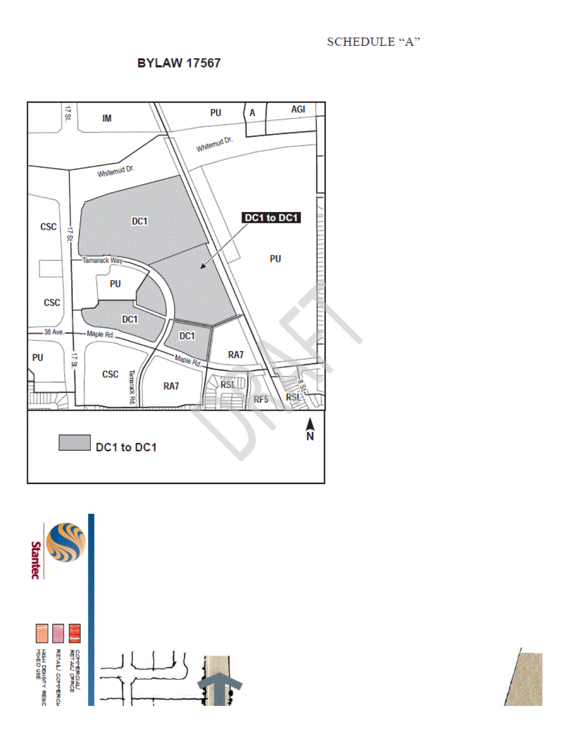# **SCHEDULE "A"**

# **BYLAW 17567**